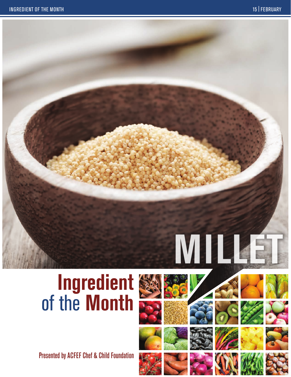# **Millet**

# **Ingredient** of the **Month**

Presented by ACFEF Chef & Child Foundation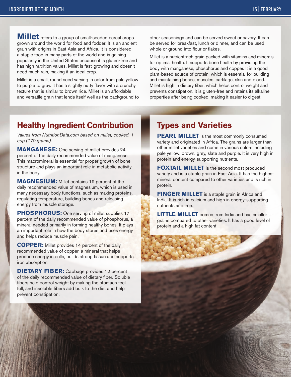**Millet** refers to a group of small-seeded cereal crops grown around the world for food and fodder. It is an ancient grain with origins in East Asia and Africa. It is considered a staple food in many parts of the world and is gaining popularity in the United States because it is gluten-free and has high nutrition values. Millet is fast-growing and doesn't need much rain, making it an ideal crop.

Millet is a small, round seed varying in color from pale yellow to purple to gray. It has a slightly nutty flavor with a crunchy texture that is similar to brown rice. Millet is an affordable and versatile grain that lends itself well as the background to other seasonings and can be served sweet or savory. It can be served for breakfast, lunch or dinner, and can be used whole or ground into flour or flakes.

Millet is a nutrient-rich grain packed with vitamins and minerals for optimal health. It supports bone health by providing the body with manganese, phosphorus and copper. It is a good plant-based source of protein, which is essential for building and maintaining bones, muscles, cartilage, skin and blood. Millet is high in dietary fiber, which helps control weight and prevents constipation. It is gluten-free and retains its alkaline properties after being cooked, making it easier to digest.

### **Healthy Ingredient Contribution**

*Values from NutritionData.com based on millet, cooked, 1 cup (170 grams).*

**MANGANESE:** One serving of millet provides 24 percent of the daily recommended value of manganese. This macromineral is essential for proper growth of bone structure and plays an important role in metabolic activity in the body.

**MAGNESIUM:** Millet contains 19 percent of the daily recommended value of magnesium, which is used in many necessary body functions, such as making proteins, regulating temperature, building bones and releasing energy from muscle storage.

**PHOSPHORUS:** One serving of millet supplies 17 percent of the daily recommended value of phosphorus, a mineral needed primarily in forming healthy bones. It plays an important role in how the body stores and uses energy and helps reduce muscle pain.

**COPPER:** Millet provides 14 percent of the daily recommended value of copper, a mineral that helps produce energy in cells, builds strong tissue and supports iron absorption.

**DIETARY FIBER:** Cabbage provides 12 percent of the daily recommended value of dietary fiber. Soluble fibers help control weight by making the stomach feel full, and insoluble fibers add bulk to the diet and help prevent constipation.

### **Types and Varieties**

**PEARL MILLET** is the most commonly consumed variety and originated in Africa. The grains are larger than other millet varieties and come in various colors including pale yellow, brown, grey, slate and purple. It is very high in protein and energy-supporting nutrients.

**FOXTAIL MILLET** is the second most produced variety and is a staple grain in East Asia. It has the highest mineral content compared to other varieties and is rich in protein.

**FINGER MILLET** is a staple grain in Africa and India. It is rich in calcium and high in energy-supporting nutrients and iron.

**LITTLE MILLET** comes from India and has smaller grains compared to other varieties. It has a good level of protein and a high fat content.